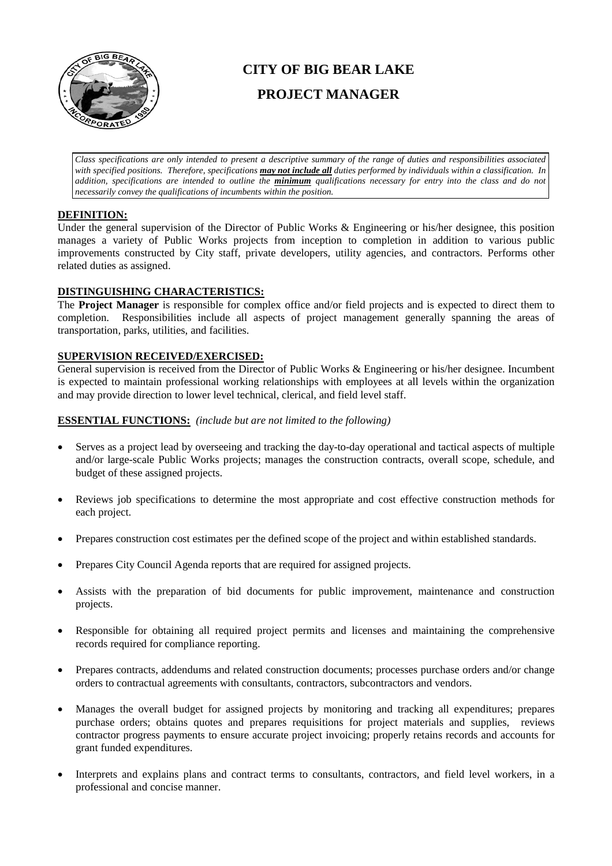

# **CITY OF BIG BEAR LAKE PROJECT MANAGER**

*Class specifications are only intended to present a descriptive summary of the range of duties and responsibilities associated with specified positions. Therefore, specifications may not include all duties performed by individuals within a classification. In addition, specifications are intended to outline the minimum qualifications necessary for entry into the class and do not necessarily convey the qualifications of incumbents within the position.*

### **DEFINITION:**

Under the general supervision of the Director of Public Works & Engineering or his/her designee, this position manages a variety of Public Works projects from inception to completion in addition to various public improvements constructed by City staff, private developers, utility agencies, and contractors. Performs other related duties as assigned.

# **DISTINGUISHING CHARACTERISTICS:**

The **Project Manager** is responsible for complex office and/or field projects and is expected to direct them to completion. Responsibilities include all aspects of project management generally spanning the areas of transportation, parks, utilities, and facilities.

#### **SUPERVISION RECEIVED/EXERCISED:**

General supervision is received from the Director of Public Works & Engineering or his/her designee. Incumbent is expected to maintain professional working relationships with employees at all levels within the organization and may provide direction to lower level technical, clerical, and field level staff.

#### **ESSENTIAL FUNCTIONS:** *(include but are not limited to the following)*

- Serves as a project lead by overseeing and tracking the day-to-day operational and tactical aspects of multiple and/or large-scale Public Works projects; manages the construction contracts, overall scope, schedule, and budget of these assigned projects.
- Reviews job specifications to determine the most appropriate and cost effective construction methods for each project.
- Prepares construction cost estimates per the defined scope of the project and within established standards.
- Prepares City Council Agenda reports that are required for assigned projects.
- Assists with the preparation of bid documents for public improvement, maintenance and construction projects.
- Responsible for obtaining all required project permits and licenses and maintaining the comprehensive records required for compliance reporting.
- Prepares contracts, addendums and related construction documents; processes purchase orders and/or change orders to contractual agreements with consultants, contractors, subcontractors and vendors.
- Manages the overall budget for assigned projects by monitoring and tracking all expenditures; prepares purchase orders; obtains quotes and prepares requisitions for project materials and supplies, reviews contractor progress payments to ensure accurate project invoicing; properly retains records and accounts for grant funded expenditures.
- Interprets and explains plans and contract terms to consultants, contractors, and field level workers, in a professional and concise manner.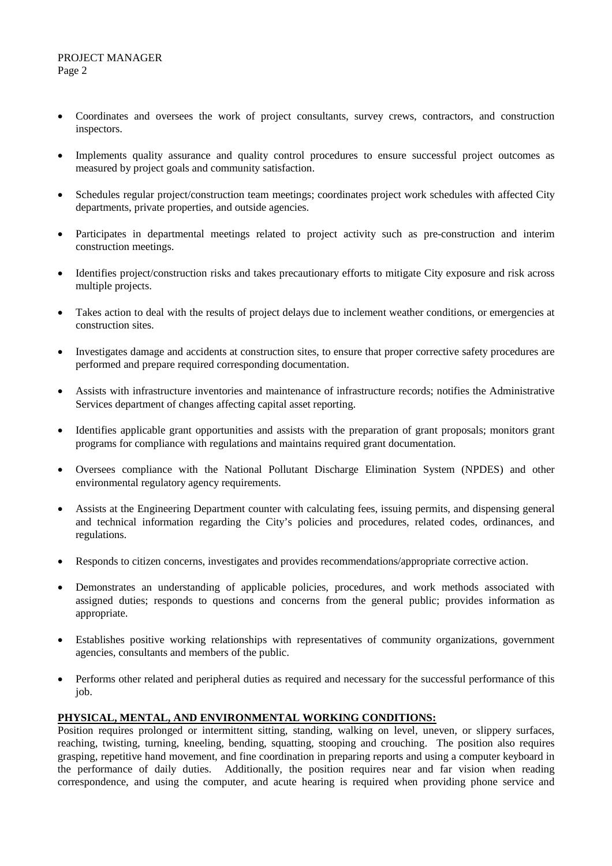- Coordinates and oversees the work of project consultants, survey crews, contractors, and construction inspectors.
- Implements quality assurance and quality control procedures to ensure successful project outcomes as measured by project goals and community satisfaction.
- Schedules regular project/construction team meetings; coordinates project work schedules with affected City departments, private properties, and outside agencies.
- Participates in departmental meetings related to project activity such as pre-construction and interim construction meetings.
- Identifies project/construction risks and takes precautionary efforts to mitigate City exposure and risk across multiple projects.
- Takes action to deal with the results of project delays due to inclement weather conditions, or emergencies at construction sites.
- Investigates damage and accidents at construction sites, to ensure that proper corrective safety procedures are performed and prepare required corresponding documentation.
- Assists with infrastructure inventories and maintenance of infrastructure records; notifies the Administrative Services department of changes affecting capital asset reporting.
- Identifies applicable grant opportunities and assists with the preparation of grant proposals; monitors grant programs for compliance with regulations and maintains required grant documentation.
- Oversees compliance with the National Pollutant Discharge Elimination System (NPDES) and other environmental regulatory agency requirements.
- Assists at the Engineering Department counter with calculating fees, issuing permits, and dispensing general and technical information regarding the City's policies and procedures, related codes, ordinances, and regulations.
- Responds to citizen concerns, investigates and provides recommendations/appropriate corrective action.
- Demonstrates an understanding of applicable policies, procedures, and work methods associated with assigned duties; responds to questions and concerns from the general public; provides information as appropriate.
- Establishes positive working relationships with representatives of community organizations, government agencies, consultants and members of the public.
- Performs other related and peripheral duties as required and necessary for the successful performance of this job.

# **PHYSICAL, MENTAL, AND ENVIRONMENTAL WORKING CONDITIONS:**

Position requires prolonged or intermittent sitting, standing, walking on level, uneven, or slippery surfaces, reaching, twisting, turning, kneeling, bending, squatting, stooping and crouching. The position also requires grasping, repetitive hand movement, and fine coordination in preparing reports and using a computer keyboard in the performance of daily duties. Additionally, the position requires near and far vision when reading correspondence, and using the computer, and acute hearing is required when providing phone service and